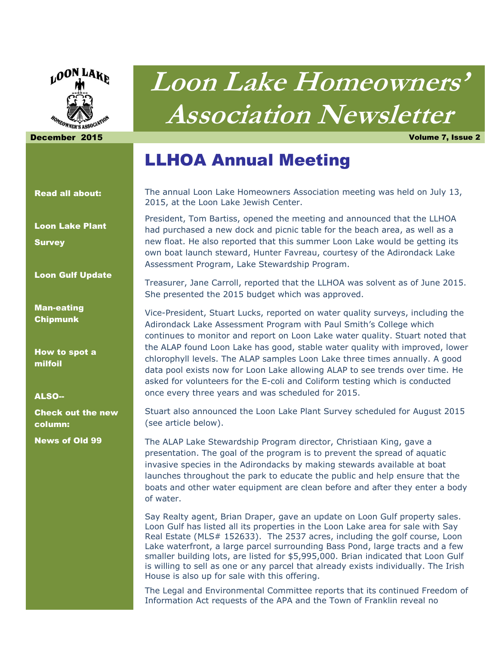

# **Loon Lake Homeowners' Association Newsletter**

December 2015 Volume 7, Issue 2

### LLHOA Annual Meeting

The annual Loon Lake Homeowners Association meeting was held on July 13, 2015, at the Loon Lake Jewish Center.

President, Tom Bartiss, opened the meeting and announced that the LLHOA had purchased a new dock and picnic table for the beach area, as well as a new float. He also reported that this summer Loon Lake would be getting its own boat launch steward, Hunter Favreau, courtesy of the Adirondack Lake Assessment Program, Lake Stewardship Program.

Treasurer, Jane Carroll, reported that the LLHOA was solvent as of June 2015. She presented the 2015 budget which was approved.

Vice-President, Stuart Lucks, reported on water quality surveys, including the Adirondack Lake Assessment Program with Paul Smith's College which continues to monitor and report on Loon Lake water quality. Stuart noted that the ALAP found Loon Lake has good, stable water quality with improved, lower chlorophyll levels. The ALAP samples Loon Lake three times annually. A good data pool exists now for Loon Lake allowing ALAP to see trends over time. He asked for volunteers for the E-coli and Coliform testing which is conducted once every three years and was scheduled for 2015.

Stuart also announced the Loon Lake Plant Survey scheduled for August 2015 (see article below).

The ALAP Lake Stewardship Program director, Christiaan King, gave a presentation. The goal of the program is to prevent the spread of aquatic invasive species in the Adirondacks by making stewards available at boat launches throughout the park to educate the public and help ensure that the boats and other water equipment are clean before and after they enter a body of water.

Say Realty agent, Brian Draper, gave an update on Loon Gulf property sales. Loon Gulf has listed all its properties in the Loon Lake area for sale with Say Real Estate (MLS# 152633). The 2537 acres, including the golf course, Loon Lake waterfront, a large parcel surrounding Bass Pond, large tracts and a few smaller building lots, are listed for \$5,995,000. Brian indicated that Loon Gulf is willing to sell as one or any parcel that already exists individually. The Irish House is also up for sale with this offering.

The Legal and Environmental Committee reports that its continued Freedom of Information Act requests of the APA and the Town of Franklin reveal no

#### Read all about:

Loon Lake Plant **Survey** 

Loon Gulf Update

Man-eating Chipmunk

How to spot a milfoil

#### ALSO--

Check out the new column:

News of Old 99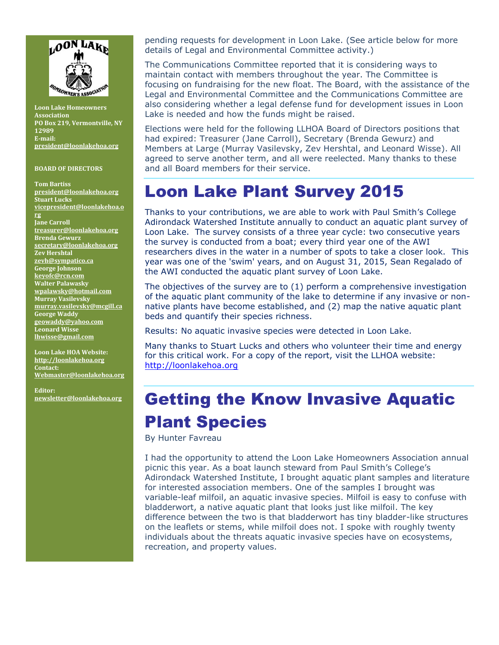

**Loon Lake Homeowners Association PO Box 219, Vermontville, NY 12989 E-mail: [president@loonlakehoa.org](mailto:president@loonlakehoa.org)**

#### **BOARD OF DIRECTORS**

**Tom Bartiss [president@loonlakehoa.org](mailto:president@loonlakehoa.org) Stuart Lucks [vicepresident@loonlakehoa.o](mailto:vicepresident@loonlakehoa.org) [rg](mailto:vicepresident@loonlakehoa.org) Jane Carroll [treasurer@loonlakehoa.org](mailto:treasurer@loonlakehoa.org) Brenda Gewurz [secretary@loonlakehoa.org](mailto:secretary@loonlakehoa.org) Zev Hershtal [zevh@sympatico.ca](mailto:zevh@sympatico.ca) George Johnson [keyofc@rcn.com](mailto:keyofc@rcn.com) Walter Palawasky [wpalawsky@hotmail.com](mailto:wpalawsky@hotmail.com) Murray Vasilevsky [murray.vasilevsky@mcgill.ca](mailto:murray.vasilevsky@mcgill.ca) George Waddy [geowaddy@yahoo.com](mailto:geowaddy@yahoo.com) Leonard Wisse [lhwisse@gmail.com](mailto:lhwisse@gmail.com)**

**Loon Lake HOA Website: [http://loonlakehoa.org](http://loonlakehoa.org/) Contact: Webmaster@loonlakehoa.org**

**Editor: [newsletter@loonlakehoa.org](mailto:newsletter@loonlakehoa.org)** pending requests for development in Loon Lake. (See article below for more details of Legal and Environmental Committee activity.)

The Communications Committee reported that it is considering ways to maintain contact with members throughout the year. The Committee is focusing on fundraising for the new float. The Board, with the assistance of the Legal and Environmental Committee and the Communications Committee are also considering whether a legal defense fund for development issues in Loon Lake is needed and how the funds might be raised.

Elections were held for the following LLHOA Board of Directors positions that had expired: Treasurer (Jane Carroll), Secretary (Brenda Gewurz) and Members at Large (Murray Vasilevsky, Zev Hershtal, and Leonard Wisse). All agreed to serve another term, and all were reelected. Many thanks to these and all Board members for their service.

### Loon Lake Plant Survey 2015

Thanks to your contributions, we are able to work with Paul Smith's College Adirondack Watershed Institute annually to conduct an aquatic plant survey of Loon Lake. The survey consists of a three year cycle: two consecutive years the survey is conducted from a boat; every third year one of the AWI researchers dives in the water in a number of spots to take a closer look. This year was one of the 'swim' years, and on August 31, 2015, Sean Regalado of the AWI conducted the aquatic plant survey of Loon Lake.

The objectives of the survey are to (1) perform a comprehensive investigation of the aquatic plant community of the lake to determine if any invasive or nonnative plants have become established, and (2) map the native aquatic plant beds and quantify their species richness.

Results: No aquatic invasive species were detected in Loon Lake.

Many thanks to Stuart Lucks and others who volunteer their time and energy for this critical work. For a copy of the report, visit the LLHOA website: [http://loonlakehoa.org](http://loonlakehoa.org/)

## Getting the Know Invasive Aquatic Plant Species

By Hunter Favreau

I had the opportunity to attend the Loon Lake Homeowners Association annual picnic this year. As a boat launch steward from Paul Smith's College's Adirondack Watershed Institute, I brought aquatic plant samples and literature for interested association members. One of the samples I brought was variable-leaf milfoil, an aquatic invasive species. Milfoil is easy to confuse with bladderwort, a native aquatic plant that looks just like milfoil. The key difference between the two is that bladderwort has tiny bladder-like structures on the leaflets or stems, while milfoil does not. I spoke with roughly twenty individuals about the threats aquatic invasive species have on ecosystems, recreation, and property values.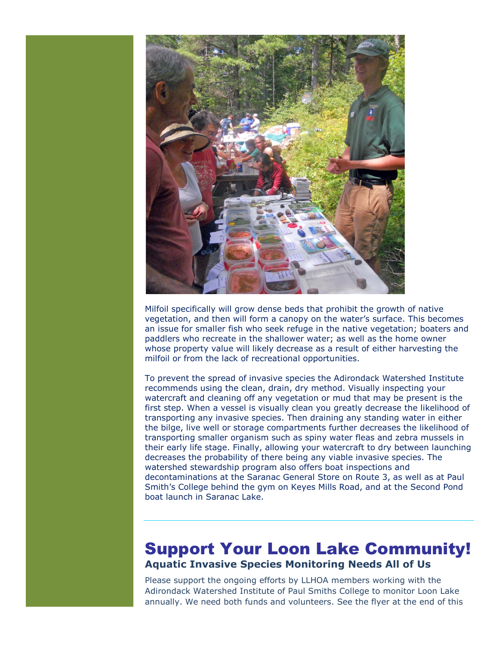

Milfoil specifically will grow dense beds that prohibit the growth of native vegetation, and then will form a canopy on the water's surface. This becomes an issue for smaller fish who seek refuge in the native vegetation; boaters and paddlers who recreate in the shallower water; as well as the home owner whose property value will likely decrease as a result of either harvesting the milfoil or from the lack of recreational opportunities.

To prevent the spread of invasive species the Adirondack Watershed Institute recommends using the clean, drain, dry method. Visually inspecting your watercraft and cleaning off any vegetation or mud that may be present is the first step. When a vessel is visually clean you greatly decrease the likelihood of transporting any invasive species. Then draining any standing water in either the bilge, live well or storage compartments further decreases the likelihood of transporting smaller organism such as spiny water fleas and zebra mussels in their early life stage. Finally, allowing your watercraft to dry between launching decreases the probability of there being any viable invasive species. The watershed stewardship program also offers boat inspections and decontaminations at the Saranac General Store on Route 3, as well as at Paul Smith's College behind the gym on Keyes Mills Road, and at the Second Pond boat launch in Saranac Lake.

### Support Your Loon Lake Community! **Aquatic Invasive Species Monitoring Needs All of Us**

Please support the ongoing efforts by LLHOA members working with the Adirondack Watershed Institute of Paul Smiths College to monitor Loon Lake annually. We need both funds and volunteers. See the flyer at the end of this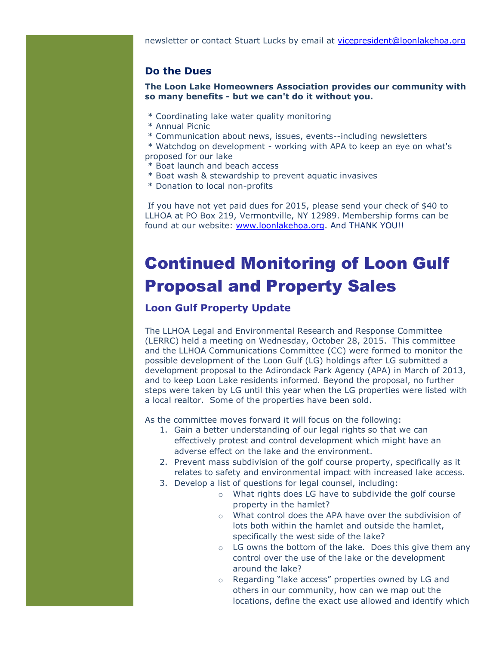#### **Do the Dues**

**The Loon Lake Homeowners Association provides our community with so many benefits - but we can't do it without you.** 

- \* Coordinating lake water quality monitoring
- \* Annual Picnic
- \* Communication about news, issues, events--including newsletters

\* Watchdog on development - working with APA to keep an eye on what's proposed for our lake

- \* Boat launch and beach access
- \* Boat wash & stewardship to prevent aquatic invasives
- \* Donation to local non-profits

If you have not yet paid dues for 2015, please send your check of \$40 to LLHOA at PO Box 219, Vermontville, NY 12989. Membership forms can be found at our website: [www.loonlakehoa.org.](http://www.loonlakehoa.org/) And THANK YOU!!

### Continued Monitoring of Loon Gulf Proposal and Property Sales

#### **Loon Gulf Property Update**

The LLHOA Legal and Environmental Research and Response Committee (LERRC) held a meeting on Wednesday, October 28, 2015. This committee and the LLHOA Communications Committee (CC) were formed to monitor the possible development of the Loon Gulf (LG) holdings after LG submitted a development proposal to the Adirondack Park Agency (APA) in March of 2013, and to keep Loon Lake residents informed. Beyond the proposal, no further steps were taken by LG until this year when the LG properties were listed with a local realtor. Some of the properties have been sold.

As the committee moves forward it will focus on the following:

- 1. Gain a better understanding of our legal rights so that we can effectively protest and control development which might have an adverse effect on the lake and the environment.
- 2. Prevent mass subdivision of the golf course property, specifically as it relates to safety and environmental impact with increased lake access.
- 3. Develop a list of questions for legal counsel, including:
	- o What rights does LG have to subdivide the golf course property in the hamlet?
	- o What control does the APA have over the subdivision of lots both within the hamlet and outside the hamlet, specifically the west side of the lake?
	- o LG owns the bottom of the lake. Does this give them any control over the use of the lake or the development around the lake?
	- o Regarding "lake access" properties owned by LG and others in our community, how can we map out the locations, define the exact use allowed and identify which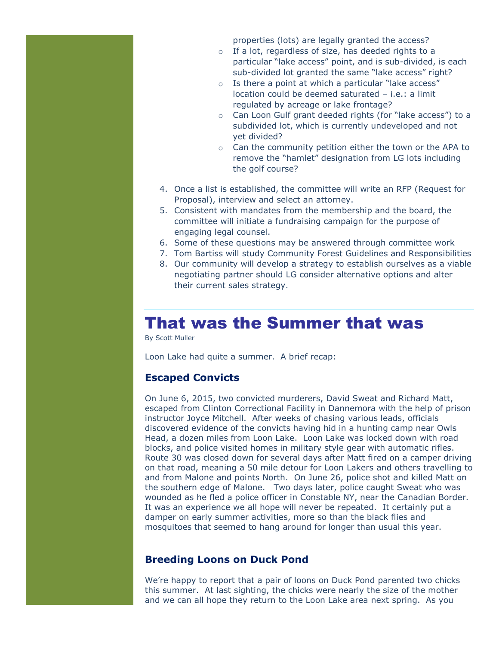properties (lots) are legally granted the access?

- o If a lot, regardless of size, has deeded rights to a particular "lake access" point, and is sub-divided, is each sub-divided lot granted the same "lake access" right?
- o Is there a point at which a particular "lake access" location could be deemed saturated – i.e.: a limit regulated by acreage or lake frontage?
- o Can Loon Gulf grant deeded rights (for "lake access") to a subdivided lot, which is currently undeveloped and not yet divided?
- o Can the community petition either the town or the APA to remove the "hamlet" designation from LG lots including the golf course?
- 4. Once a list is established, the committee will write an RFP (Request for Proposal), interview and select an attorney.
- 5. Consistent with mandates from the membership and the board, the committee will initiate a fundraising campaign for the purpose of engaging legal counsel.
- 6. Some of these questions may be answered through committee work
- 7. Tom Bartiss will study Community Forest Guidelines and Responsibilities
- 8. Our community will develop a strategy to establish ourselves as a viable negotiating partner should LG consider alternative options and alter their current sales strategy.

### That was the Summer that was

By Scott Muller

Loon Lake had quite a summer. A brief recap:

#### **Escaped Convicts**

On June 6, 2015, two convicted murderers, David Sweat and Richard Matt, escaped from Clinton Correctional Facility in Dannemora with the help of prison instructor Joyce Mitchell. After weeks of chasing various leads, officials discovered evidence of the convicts having hid in a hunting camp near Owls Head, a dozen miles from Loon Lake. Loon Lake was locked down with road blocks, and police visited homes in military style gear with automatic rifles. Route 30 was closed down for several days after Matt fired on a camper driving on that road, meaning a 50 mile detour for Loon Lakers and others travelling to and from Malone and points North. On June 26, police shot and killed Matt on the southern edge of Malone. Two days later, police caught Sweat who was wounded as he fled a police officer in Constable NY, near the Canadian Border. It was an experience we all hope will never be repeated. It certainly put a damper on early summer activities, more so than the black flies and mosquitoes that seemed to hang around for longer than usual this year.

#### **Breeding Loons on Duck Pond**

We're happy to report that a pair of loons on Duck Pond parented two chicks this summer. At last sighting, the chicks were nearly the size of the mother and we can all hope they return to the Loon Lake area next spring. As you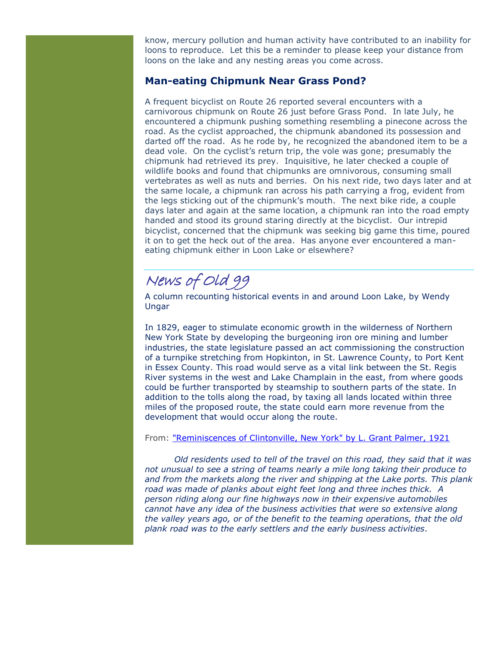know, mercury pollution and human activity have contributed to an inability for loons to reproduce. Let this be a reminder to please keep your distance from loons on the lake and any nesting areas you come across.

### **Man-eating Chipmunk Near Grass Pond?**

A frequent bicyclist on Route 26 reported several encounters with a carnivorous chipmunk on Route 26 just before Grass Pond. In late July, he encountered a chipmunk pushing something resembling a pinecone across the road. As the cyclist approached, the chipmunk abandoned its possession and darted off the road. As he rode by, he recognized the abandoned item to be a dead vole. On the cyclist's return trip, the vole was gone; presumably the chipmunk had retrieved its prey. Inquisitive, he later checked a couple of wildlife books and found that chipmunks are omnivorous, consuming small vertebrates as well as nuts and berries. On his next ride, two days later and at the same locale, a chipmunk ran across his path carrying a frog, evident from the legs sticking out of the chipmunk's mouth. The next bike ride, a couple days later and again at the same location, a chipmunk ran into the road empty handed and stood its ground staring directly at the bicyclist. Our intrepid bicyclist, concerned that the chipmunk was seeking big game this time, poured it on to get the heck out of the area. Has anyone ever encountered a maneating chipmunk either in Loon Lake or elsewhere?

### News of Old 99

A column recounting historical events in and around Loon Lake, by Wendy Ungar

In 1829, eager to stimulate economic growth in the wilderness of Northern New York State by developing the burgeoning iron ore mining and lumber industries, the state legislature passed an act commissioning the construction of a turnpike stretching from Hopkinton, in St. Lawrence County, to Port Kent in Essex County. This road would serve as a vital link between the St. Regis River systems in the west and Lake Champlain in the east, from where goods could be further transported by steamship to southern parts of the state. In addition to the tolls along the road, by taxing all lands located within three miles of the proposed route, the state could earn more revenue from the development that would occur along the route.

#### From: ["Reminiscences of Clintonville, New York" by L. Grant Palmer, 1921](http://www.rootsweb.ancestry.com/~nyclinto/areahist/cltville.html)

*Old residents used to tell of the travel on this road, they said that it was not unusual to see a string of teams nearly a mile long taking their produce to and from the markets along the river and shipping at the Lake ports. This plank road was made of planks about eight feet long and three inches thick. A person riding along our fine highways now in their expensive automobiles cannot have any idea of the business activities that were so extensive along the valley years ago, or of the benefit to the teaming operations, that the old plank road was to the early settlers and the early business activities*.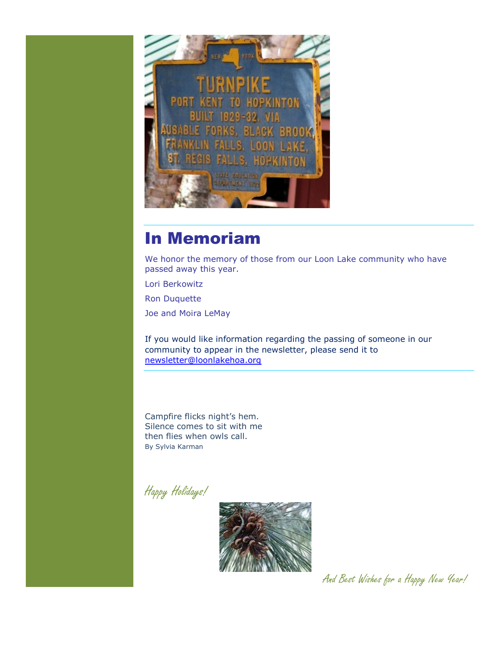

### In Memoriam

We honor the memory of those from our Loon Lake community who have passed away this year.

Lori Berkowitz

Ron Duquette

Joe and Moira LeMay

If you would like information regarding the passing of someone in our community to appear in the newsletter, please send it to [newsletter@loonlakehoa.org](mailto:newsletter@loonlakehoa.org)

Campfire flicks night's hem. Silence comes to sit with me then flies when owls call. By Sylvia Karman

Happy Holidays!



And Best Wishes for a Happy New Year!